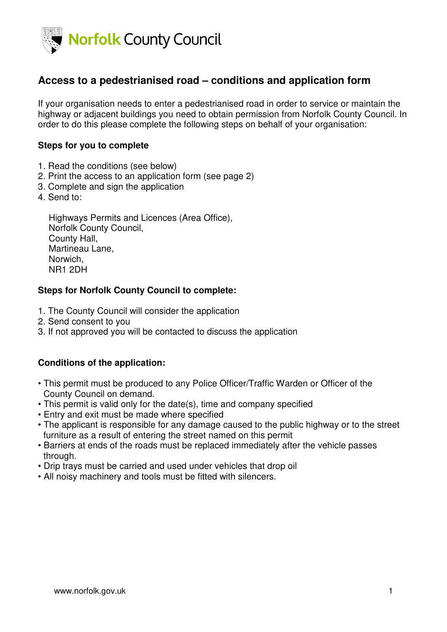

# **Access to a pedestrianised road – conditions and application form**

If your organisation needs to enter a pedestrianised road in order to service or maintain the highway or adjacent buildings you need to obtain permission from Norfolk County Council. In order to do this please complete the following steps on behalf of your organisation:

### **Steps for you to complete**

- 1. Read the conditions (see below)
- 2. Print the access to an application form (see page 2)
- 3. Complete and sign the application
- 4. Send to:

Highways Permits and Licences (Area Office), Norfolk County Council, County Hall, Martineau Lane, Norwich, NR1 2DH

#### **Steps for Norfolk County Council to complete:**

- 1. The County Council will consider the application
- 2. Send consent to you
- 3. If not approved you will be contacted to discuss the application

#### **Conditions of the application:**

- This permit must be produced to any Police Officer/Traffic Warden or Officer of the County Council on demand.
- This permit is valid only for the date(s), time and company specified
- Entry and exit must be made where specified
- The applicant is responsible for any damage caused to the public highway or to the street furniture as a result of entering the street named on this permit
- Barriers at ends of the roads must be replaced immediately after the vehicle passes through.
- Drip trays must be carried and used under vehicles that drop oil
- All noisy machinery and tools must be fitted with silencers.